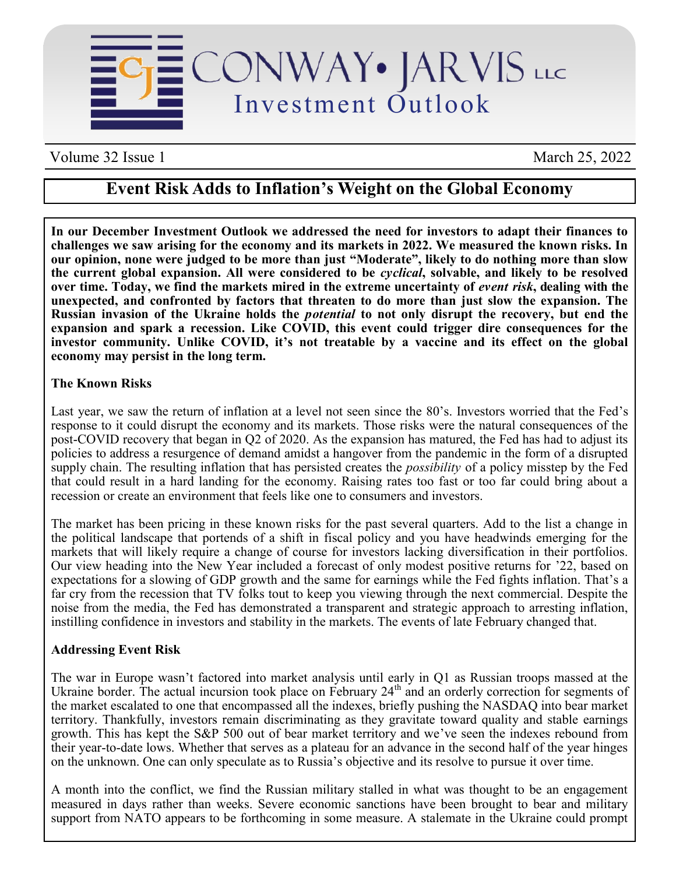

Volume 32 Issue 1 March 25, 2022

# **Event Risk Adds to Inflation's Weight on the Global Economy**

**In our December Investment Outlook we addressed the need for investors to adapt their finances to challenges we saw arising for the economy and its markets in 2022. We measured the known risks. In our opinion, none were judged to be more than just "Moderate", likely to do nothing more than slow the current global expansion. All were considered to be** *cyclical***, solvable, and likely to be resolved over time. Today, we find the markets mired in the extreme uncertainty of** *event risk***, dealing with the unexpected, and confronted by factors that threaten to do more than just slow the expansion. The Russian invasion of the Ukraine holds the** *potential* **to not only disrupt the recovery, but end the expansion and spark a recession. Like COVID, this event could trigger dire consequences for the investor community. Unlike COVID, it's not treatable by a vaccine and its effect on the global economy may persist in the long term.** 

## **The Known Risks**

Last year, we saw the return of inflation at a level not seen since the 80's. Investors worried that the Fed's response to it could disrupt the economy and its markets. Those risks were the natural consequences of the post-COVID recovery that began in Q2 of 2020. As the expansion has matured, the Fed has had to adjust its policies to address a resurgence of demand amidst a hangover from the pandemic in the form of a disrupted supply chain. The resulting inflation that has persisted creates the *possibility* of a policy misstep by the Fed that could result in a hard landing for the economy. Raising rates too fast or too far could bring about a recession or create an environment that feels like one to consumers and investors.

The market has been pricing in these known risks for the past several quarters. Add to the list a change in the political landscape that portends of a shift in fiscal policy and you have headwinds emerging for the markets that will likely require a change of course for investors lacking diversification in their portfolios. Our view heading into the New Year included a forecast of only modest positive returns for '22, based on expectations for a slowing of GDP growth and the same for earnings while the Fed fights inflation. That's a far cry from the recession that TV folks tout to keep you viewing through the next commercial. Despite the noise from the media, the Fed has demonstrated a transparent and strategic approach to arresting inflation, instilling confidence in investors and stability in the markets. The events of late February changed that.

#### **Addressing Event Risk**

The war in Europe wasn't factored into market analysis until early in Q1 as Russian troops massed at the Ukraine border. The actual incursion took place on February 24<sup>th</sup> and an orderly correction for segments of the market escalated to one that encompassed all the indexes, briefly pushing the NASDAQ into bear market territory. Thankfully, investors remain discriminating as they gravitate toward quality and stable earnings growth. This has kept the S&P 500 out of bear market territory and we've seen the indexes rebound from their year-to-date lows. Whether that serves as a plateau for an advance in the second half of the year hinges on the unknown. One can only speculate as to Russia's objective and its resolve to pursue it over time.

A month into the conflict, we find the Russian military stalled in what was thought to be an engagement measured in days rather than weeks. Severe economic sanctions have been brought to bear and military support from NATO appears to be forthcoming in some measure. A stalemate in the Ukraine could prompt